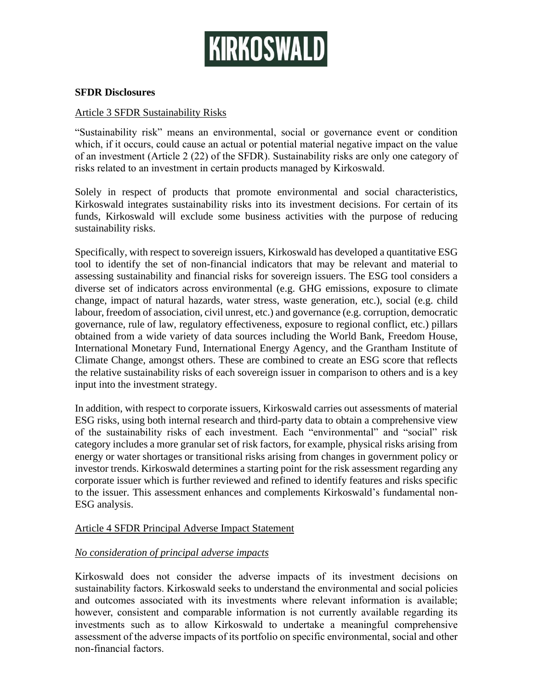

### **SFDR Disclosures**

### Article 3 SFDR Sustainability Risks

"Sustainability risk" means an environmental, social or governance event or condition which, if it occurs, could cause an actual or potential material negative impact on the value of an investment (Article 2 (22) of the SFDR). Sustainability risks are only one category of risks related to an investment in certain products managed by Kirkoswald.

Solely in respect of products that promote environmental and social characteristics, Kirkoswald integrates sustainability risks into its investment decisions. For certain of its funds, Kirkoswald will exclude some business activities with the purpose of reducing sustainability risks.

Specifically, with respect to sovereign issuers, Kirkoswald has developed a quantitative ESG tool to identify the set of non-financial indicators that may be relevant and material to assessing sustainability and financial risks for sovereign issuers. The ESG tool considers a diverse set of indicators across environmental (e.g. GHG emissions, exposure to climate change, impact of natural hazards, water stress, waste generation, etc.), social (e.g. child labour, freedom of association, civil unrest, etc.) and governance (e.g. corruption, democratic governance, rule of law, regulatory effectiveness, exposure to regional conflict, etc.) pillars obtained from a wide variety of data sources including the World Bank, Freedom House, International Monetary Fund, International Energy Agency, and the Grantham Institute of Climate Change, amongst others. These are combined to create an ESG score that reflects the relative sustainability risks of each sovereign issuer in comparison to others and is a key input into the investment strategy.

In addition, with respect to corporate issuers, Kirkoswald carries out assessments of material ESG risks, using both internal research and third-party data to obtain a comprehensive view of the sustainability risks of each investment. Each "environmental" and "social" risk category includes a more granular set of risk factors, for example, physical risks arising from energy or water shortages or transitional risks arising from changes in government policy or investor trends. Kirkoswald determines a starting point for the risk assessment regarding any corporate issuer which is further reviewed and refined to identify features and risks specific to the issuer. This assessment enhances and complements Kirkoswald's fundamental non-ESG analysis.

### Article 4 SFDR Principal Adverse Impact Statement

#### *No consideration of principal adverse impacts*

Kirkoswald does not consider the adverse impacts of its investment decisions on sustainability factors. Kirkoswald seeks to understand the environmental and social policies and outcomes associated with its investments where relevant information is available; however, consistent and comparable information is not currently available regarding its investments such as to allow Kirkoswald to undertake a meaningful comprehensive assessment of the adverse impacts of its portfolio on specific environmental, social and other non-financial factors.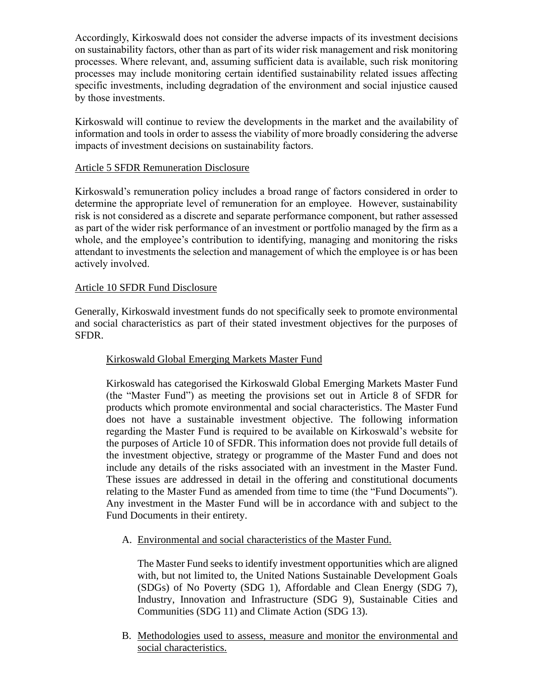Accordingly, Kirkoswald does not consider the adverse impacts of its investment decisions on sustainability factors, other than as part of its wider risk management and risk monitoring processes. Where relevant, and, assuming sufficient data is available, such risk monitoring processes may include monitoring certain identified sustainability related issues affecting specific investments, including degradation of the environment and social injustice caused by those investments.

Kirkoswald will continue to review the developments in the market and the availability of information and tools in order to assess the viability of more broadly considering the adverse impacts of investment decisions on sustainability factors.

# Article 5 SFDR Remuneration Disclosure

Kirkoswald's remuneration policy includes a broad range of factors considered in order to determine the appropriate level of remuneration for an employee. However, sustainability risk is not considered as a discrete and separate performance component, but rather assessed as part of the wider risk performance of an investment or portfolio managed by the firm as a whole, and the employee's contribution to identifying, managing and monitoring the risks attendant to investments the selection and management of which the employee is or has been actively involved.

### Article 10 SFDR Fund Disclosure

Generally, Kirkoswald investment funds do not specifically seek to promote environmental and social characteristics as part of their stated investment objectives for the purposes of SFDR.

# Kirkoswald Global Emerging Markets Master Fund

Kirkoswald has categorised the Kirkoswald Global Emerging Markets Master Fund (the "Master Fund") as meeting the provisions set out in Article 8 of SFDR for products which promote environmental and social characteristics. The Master Fund does not have a sustainable investment objective. The following information regarding the Master Fund is required to be available on Kirkoswald's website for the purposes of Article 10 of SFDR. This information does not provide full details of the investment objective, strategy or programme of the Master Fund and does not include any details of the risks associated with an investment in the Master Fund. These issues are addressed in detail in the offering and constitutional documents relating to the Master Fund as amended from time to time (the "Fund Documents"). Any investment in the Master Fund will be in accordance with and subject to the Fund Documents in their entirety.

A. Environmental and social characteristics of the Master Fund.

The Master Fund seeks to identify investment opportunities which are aligned with, but not limited to, the United Nations Sustainable Development Goals (SDGs) of No Poverty (SDG 1), Affordable and Clean Energy (SDG 7), Industry, Innovation and Infrastructure (SDG 9), Sustainable Cities and Communities (SDG 11) and Climate Action (SDG 13).

B. Methodologies used to assess, measure and monitor the environmental and social characteristics.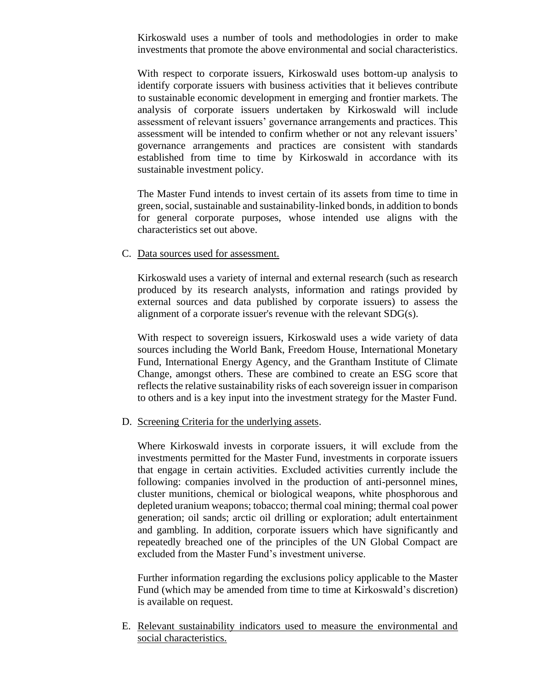Kirkoswald uses a number of tools and methodologies in order to make investments that promote the above environmental and social characteristics.

With respect to corporate issuers, Kirkoswald uses bottom-up analysis to identify corporate issuers with business activities that it believes contribute to sustainable economic development in emerging and frontier markets. The analysis of corporate issuers undertaken by Kirkoswald will include assessment of relevant issuers' governance arrangements and practices. This assessment will be intended to confirm whether or not any relevant issuers' governance arrangements and practices are consistent with standards established from time to time by Kirkoswald in accordance with its sustainable investment policy.

The Master Fund intends to invest certain of its assets from time to time in green, social, sustainable and sustainability-linked bonds, in addition to bonds for general corporate purposes, whose intended use aligns with the characteristics set out above.

### C. Data sources used for assessment.

Kirkoswald uses a variety of internal and external research (such as research produced by its research analysts, information and ratings provided by external sources and data published by corporate issuers) to assess the alignment of a corporate issuer's revenue with the relevant SDG(s).

With respect to sovereign issuers, Kirkoswald uses a wide variety of data sources including the World Bank, Freedom House, International Monetary Fund, International Energy Agency, and the Grantham Institute of Climate Change, amongst others. These are combined to create an ESG score that reflects the relative sustainability risks of each sovereign issuer in comparison to others and is a key input into the investment strategy for the Master Fund.

#### D. Screening Criteria for the underlying assets.

Where Kirkoswald invests in corporate issuers, it will exclude from the investments permitted for the Master Fund, investments in corporate issuers that engage in certain activities. Excluded activities currently include the following: companies involved in the production of anti-personnel mines, cluster munitions, chemical or biological weapons, white phosphorous and depleted uranium weapons; tobacco; thermal coal mining; thermal coal power generation; oil sands; arctic oil drilling or exploration; adult entertainment and gambling. In addition, corporate issuers which have significantly and repeatedly breached one of the principles of the UN Global Compact are excluded from the Master Fund's investment universe.

Further information regarding the exclusions policy applicable to the Master Fund (which may be amended from time to time at Kirkoswald's discretion) is available on request.

E. Relevant sustainability indicators used to measure the environmental and social characteristics.